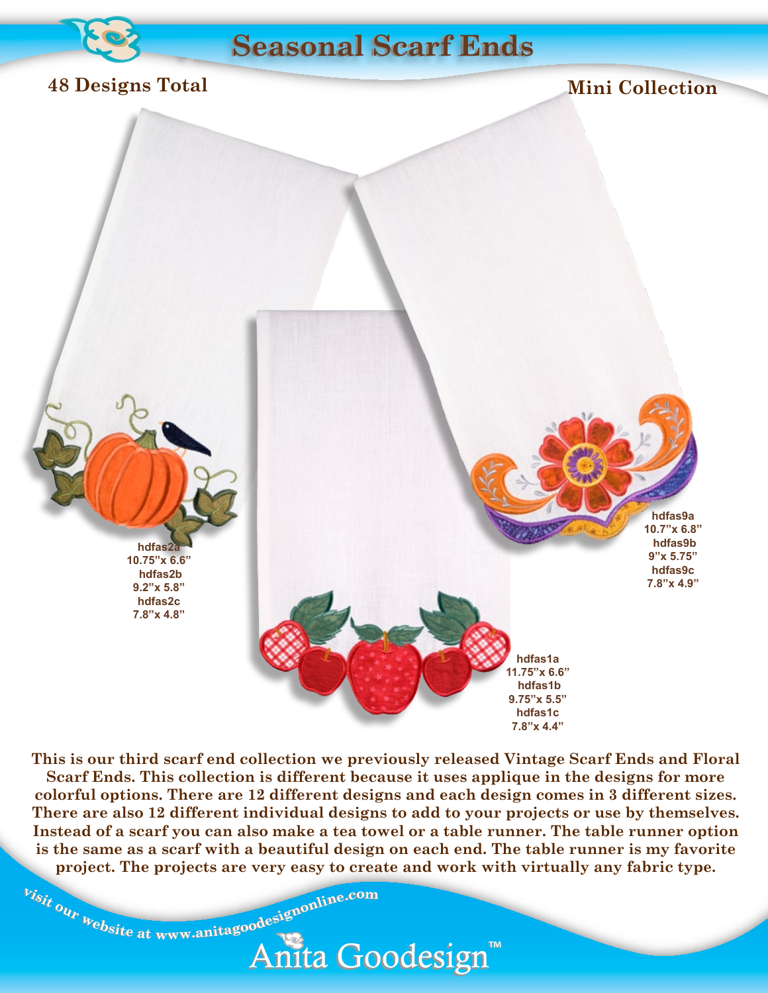

# **Vintage Seasonal Scarf Ends**

### **48 Designs Total**

### **Mini Collection**



**This is our third scarf end collection we previously released Vintage Scarf Ends and Floral Scarf Ends. This collection is different because it uses applique in the designs for more colorful options. There are 12 different designs and each design comes in 3 different sizes. There are also 12 different individual designs to add to your projects or use by themselves. Instead of a scarf you can also make a tea towel or a table runner. The table runner option is the same as a scarf with a beautiful design on each end. The table runner is my favorite project. The projects are very easy to create and work with virtually any fabric type.**

Anita Goodesign™

<sup>b</sup>isit our website at www.anitagoodesignonline.com